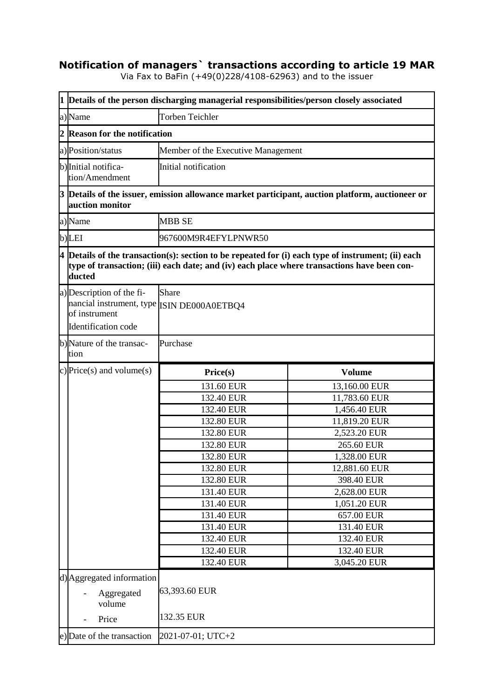## **Notification of managers` transactions according to article 19 MAR**

Via Fax to BaFin (+49(0)228/4108-62963) and to the issuer

|   | 1 Details of the person discharging managerial responsibilities/person closely associated                       |                                                                                             |                                                                                                      |  |
|---|-----------------------------------------------------------------------------------------------------------------|---------------------------------------------------------------------------------------------|------------------------------------------------------------------------------------------------------|--|
|   | a)Name                                                                                                          | <b>Torben Teichler</b>                                                                      |                                                                                                      |  |
| 2 | <b>Reason for the notification</b>                                                                              |                                                                                             |                                                                                                      |  |
|   | a) Position/status                                                                                              | Member of the Executive Management                                                          |                                                                                                      |  |
|   | b) Initial notifica-<br>tion/Amendment                                                                          | Initial notification                                                                        |                                                                                                      |  |
|   | auction monitor                                                                                                 |                                                                                             | 3 Details of the issuer, emission allowance market participant, auction platform, auctioneer or      |  |
|   | a)Name                                                                                                          | <b>MBB SE</b>                                                                               |                                                                                                      |  |
|   | b)LEI                                                                                                           | 967600M9R4EFYLPNWR50                                                                        |                                                                                                      |  |
|   | ducted                                                                                                          | type of transaction; (iii) each date; and (iv) each place where transactions have been con- | $4$ Details of the transaction(s): section to be repeated for (i) each type of instrument; (ii) each |  |
|   | a) Description of the fi-<br>nancial instrument, type ISIN DE000A0ETBQ4<br>of instrument<br>Identification code | Share                                                                                       |                                                                                                      |  |
|   | b) Nature of the transac-<br>tion                                                                               | Purchase                                                                                    |                                                                                                      |  |
|   | c) Price(s) and volume(s)                                                                                       | Price(s)                                                                                    | <b>Volume</b>                                                                                        |  |
|   |                                                                                                                 | 131.60 EUR                                                                                  | 13,160.00 EUR                                                                                        |  |
|   |                                                                                                                 | 132.40 EUR                                                                                  | 11,783.60 EUR                                                                                        |  |
|   |                                                                                                                 | 132.40 EUR                                                                                  | 1,456.40 EUR                                                                                         |  |
|   |                                                                                                                 | 132.80 EUR                                                                                  | 11,819.20 EUR                                                                                        |  |
|   |                                                                                                                 | 132.80 EUR                                                                                  | 2,523.20 EUR                                                                                         |  |
|   |                                                                                                                 | 132.80 EUR                                                                                  | 265.60 EUR                                                                                           |  |
|   |                                                                                                                 | 132.80 EUR                                                                                  | 1,328.00 EUR                                                                                         |  |
|   |                                                                                                                 | 132.80 EUR                                                                                  | 12,881.60 EUR                                                                                        |  |
|   |                                                                                                                 | 132.80 EUR                                                                                  | 398.40 EUR                                                                                           |  |
|   |                                                                                                                 | 131.40 EUR                                                                                  | 2,628.00 EUR                                                                                         |  |
|   |                                                                                                                 | 131.40 EUR                                                                                  | 1,051.20 EUR                                                                                         |  |
|   |                                                                                                                 | 131.40 EUR                                                                                  | 657.00 EUR                                                                                           |  |
|   |                                                                                                                 | 131.40 EUR                                                                                  | 131.40 EUR                                                                                           |  |
|   |                                                                                                                 | 132.40 EUR                                                                                  | 132.40 EUR                                                                                           |  |
|   |                                                                                                                 | 132.40 EUR                                                                                  | 132.40 EUR                                                                                           |  |
|   |                                                                                                                 | 132.40 EUR                                                                                  | 3,045.20 EUR                                                                                         |  |
|   | d) Aggregated information<br>Aggregated<br>volume<br>Price                                                      | 63,393.60 EUR<br>132.35 EUR                                                                 |                                                                                                      |  |
|   | e) Date of the transaction                                                                                      | 2021-07-01; UTC+2                                                                           |                                                                                                      |  |